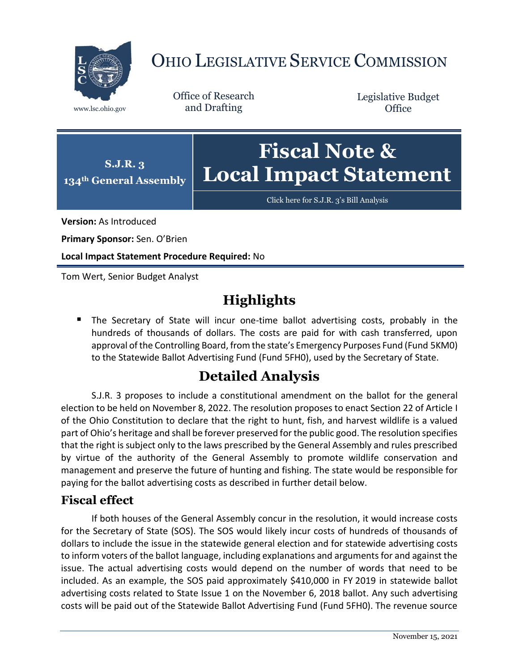

## OHIO LEGISLATIVE SERVICE COMMISSION

Office of Research www.lsc.ohio.gov and Drafting

Legislative Budget **Office** 



[Click here for S.J.R. 3](https://www.legislature.ohio.gov/legislation/legislation-documents?id=GA134-SJR-3)'s Bill Analysis

**Version:** As Introduced

**Primary Sponsor:** Sen. O'Brien

**Local Impact Statement Procedure Required:** No

Tom Wert, Senior Budget Analyst

## **Highlights**

**The Secretary of State will incur one-time ballot advertising costs, probably in the** hundreds of thousands of dollars. The costs are paid for with cash transferred, upon approval of the Controlling Board, from the state's Emergency Purposes Fund (Fund 5KM0) to the Statewide Ballot Advertising Fund (Fund 5FH0), used by the Secretary of State.

## **Detailed Analysis**

S.J.R. 3 proposes to include a constitutional amendment on the ballot for the general election to be held on November 8, 2022. The resolution proposes to enact Section 22 of Article I of the Ohio Constitution to declare that the right to hunt, fish, and harvest wildlife is a valued part of Ohio's heritage and shall be forever preserved for the public good. The resolution specifies that the right is subject only to the laws prescribed by the General Assembly and rules prescribed by virtue of the authority of the General Assembly to promote wildlife conservation and management and preserve the future of hunting and fishing. The state would be responsible for paying for the ballot advertising costs as described in further detail below.

## **Fiscal effect**

If both houses of the General Assembly concur in the resolution, it would increase costs for the Secretary of State (SOS). The SOS would likely incur costs of hundreds of thousands of dollars to include the issue in the statewide general election and for statewide advertising costs to inform voters of the ballot language, including explanations and arguments for and against the issue. The actual advertising costs would depend on the number of words that need to be included. As an example, the SOS paid approximately \$410,000 in FY 2019 in statewide ballot advertising costs related to State Issue 1 on the November 6, 2018 ballot. Any such advertising costs will be paid out of the Statewide Ballot Advertising Fund (Fund 5FH0). The revenue source